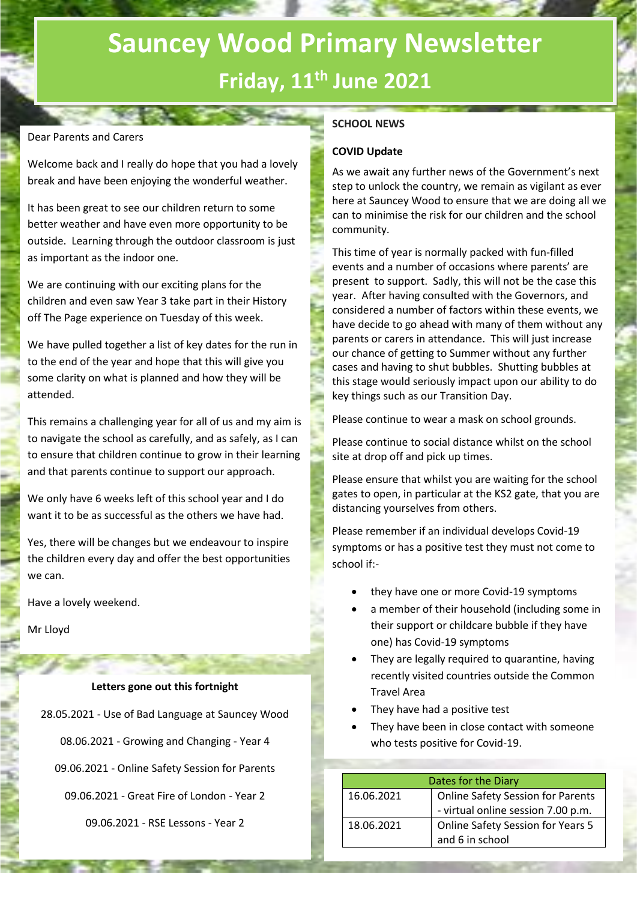# **Sauncey Wood Primary Newsletter Friday, 11th June 2021**

## Dear Parents and Carers

Welcome back and I really do hope that you had a lovely break and have been enjoying the wonderful weather.

It has been great to see our children return to some better weather and have even more opportunity to be outside. Learning through the outdoor classroom is just as important as the indoor one.

We are continuing with our exciting plans for the children and even saw Year 3 take part in their History off The Page experience on Tuesday of this week.

We have pulled together a list of key dates for the run in to the end of the year and hope that this will give you some clarity on what is planned and how they will be attended.

This remains a challenging year for all of us and my aim is to navigate the school as carefully, and as safely, as I can to ensure that children continue to grow in their learning and that parents continue to support our approach.

We only have 6 weeks left of this school year and I do want it to be as successful as the others we have had.

Yes, there will be changes but we endeavour to inspire the children every day and offer the best opportunities we can.

Have a lovely weekend.

Mr Lloyd

#### **Letters gone out this fortnight**

28.05.2021 - Use of Bad Language at Sauncey Wood

08.06.2021 - Growing and Changing - Year 4

09.06.2021 - Online Safety Session for Parents

09.06.2021 - Great Fire of London - Year 2

09.06.2021 - RSE Lessons - Year 2

## **SCHOOL NEWS**

#### **COVID Update**

As we await any further news of the Government's next step to unlock the country, we remain as vigilant as ever here at Sauncey Wood to ensure that we are doing all we can to minimise the risk for our children and the school community.

This time of year is normally packed with fun-filled events and a number of occasions where parents' are present to support. Sadly, this will not be the case this year. After having consulted with the Governors, and considered a number of factors within these events, we have decide to go ahead with many of them without any parents or carers in attendance. This will just increase our chance of getting to Summer without any further cases and having to shut bubbles. Shutting bubbles at this stage would seriously impact upon our ability to do key things such as our Transition Day.

Please continue to wear a mask on school grounds.

Please continue to social distance whilst on the school site at drop off and pick up times.

Please ensure that whilst you are waiting for the school gates to open, in particular at the KS2 gate, that you are distancing yourselves from others.

Please remember if an individual develops Covid-19 symptoms or has a positive test they must not come to school if:-

- they have one or more Covid-19 symptoms
- a member of their household (including some in their support or childcare bubble if they have one) has Covid-19 symptoms
- They are legally required to quarantine, having recently visited countries outside the Common Travel Area
- They have had a positive test
- They have been in close contact with someone who tests positive for Covid-19.

|            | Dates for the Diary                      |  |  |
|------------|------------------------------------------|--|--|
| 16.06.2021 | <b>Online Safety Session for Parents</b> |  |  |
|            | - virtual online session 7.00 p.m.       |  |  |
| 18.06.2021 | <b>Online Safety Session for Years 5</b> |  |  |
|            | and 6 in school                          |  |  |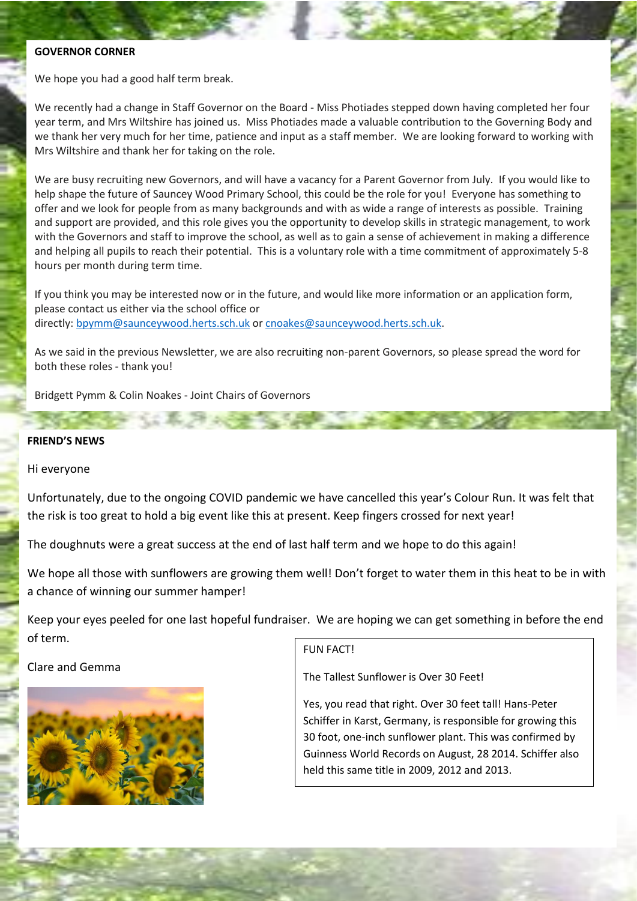#### **GOVERNOR CORNER**

We hope you had a good half term break.

We recently had a change in Staff Governor on the Board - Miss Photiades stepped down having completed her four year term, and Mrs Wiltshire has joined us. Miss Photiades made a valuable contribution to the Governing Body and we thank her very much for her time, patience and input as a staff member. We are looking forward to working with Mrs Wiltshire and thank her for taking on the role.

We are busy recruiting new Governors, and will have a vacancy for a Parent Governor from July. If you would like to help shape the future of Sauncey Wood Primary School, this could be the role for you! Everyone has something to offer and we look for people from as many backgrounds and with as wide a range of interests as possible. Training and support are provided, and this role gives you the opportunity to develop skills in strategic management, to work with the Governors and staff to improve the school, as well as to gain a sense of achievement in making a difference and helping all pupils to reach their potential. This is a voluntary role with a time commitment of approximately 5-8 hours per month during term time.

If you think you may be interested now or in the future, and would like more information or an application form, please contact us either via the school office or directly: [bpymm@saunceywood.herts.sch.uk](mailto:bpymm@saunceywood.herts.sch.uk) or [cnoakes@saunceywood.herts.sch.uk.](mailto:cnoakes@saunceywood.herts.sch.uk)

As we said in the previous Newsletter, we are also recruiting non-parent Governors, so please spread the word for both these roles - thank you!

Bridgett Pymm & Colin Noakes - Joint Chairs of Governors

**COLLEGE OF SUSSE** 

### **FRIEND'S NEWS**

#### Hi everyone

Unfortunately, due to the ongoing COVID pandemic we have cancelled this year's Colour Run. It was felt that the risk is too great to hold a big event like this at present. Keep fingers crossed for next year!

The doughnuts were a great success at the end of last half term and we hope to do this again!

We hope all those with sunflowers are growing them well! Don't forget to water them in this heat to be in with a chance of winning our summer hamper!

Keep your eyes peeled for one last hopeful fundraiser. We are hoping we can get something in before the end of term.

Clare and Gemma



FUN FACT!

The Tallest Sunflower is Over 30 Feet!

Yes, you read that right. Over 30 feet tall! Hans-Peter Schiffer in Karst, Germany, is responsible for growing this 30 foot, one-inch sunflower plant. This was confirmed by Guinness World Records on August, 28 2014. Schiffer also held this same title in 2009, 2012 and 2013.